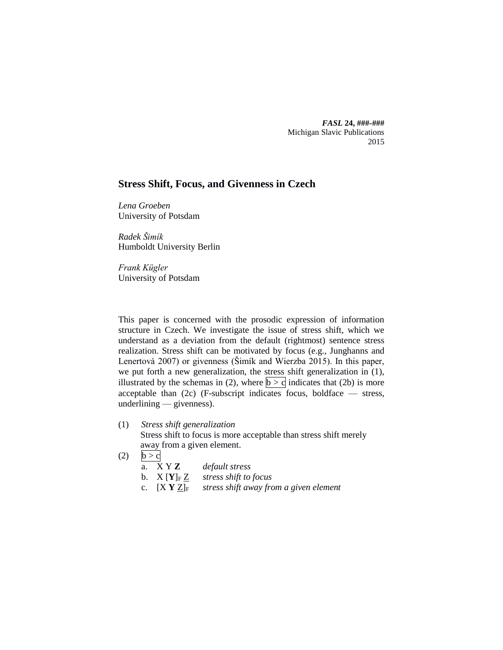*FASL* **24, ###-###** Michigan Slavic Publications 2015

# **Stress Shift, Focus, and Givenness in Czech**

*Lena Groeben* University of Potsdam

*Radek Šimík* Humboldt University Berlin

*Frank Kügler* University of Potsdam

This paper is concerned with the prosodic expression of information structure in Czech. We investigate the issue of stress shift, which we understand as a deviation from the default (rightmost) sentence stress realization. Stress shift can be motivated by focus (e.g., Junghanns and Lenertová 2007) or givenness (Šimík and Wierzba 2015). In this paper, we put forth a new generalization, the stress shift generalization in (1), illustrated by the schemas in (2), where  $|b > c|$  indicates that (2b) is more acceptable than  $(2c)$  (F-subscript indicates focus, boldface  $-$  stress, underlining — givenness).

(1) *Stress shift generalization*

Stress shift to focus is more acceptable than stress shift merely away from a given element.

(2)  $b > c$ 

|  | a. $XYZ$ | default stress |
|--|----------|----------------|
|--|----------|----------------|

- b.  $X[Y]_FZ$  *stress shift to focus*
- c.  $[X Y Z]_F$  *stress shift away from a given element*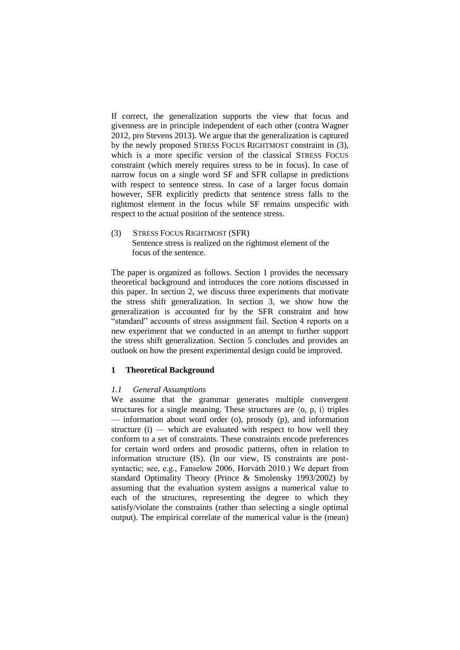If correct, the generalization supports the view that focus and givenness are in principle independent of each other (contra Wagner 2012, pro Stevens 2013). We argue that the generalization is captured by the newly proposed STRESS FOCUS RIGHTMOST constraint in (3), which is a more specific version of the classical STRESS FOCUS constraint (which merely requires stress to be in focus). In case of narrow focus on a single word SF and SFR collapse in predictions with respect to sentence stress. In case of a larger focus domain however, SFR explicitly predicts that sentence stress falls to the rightmost element in the focus while SF remains unspecific with respect to the actual position of the sentence stress.

(3) STRESS FOCUS RIGHTMOST (SFR) Sentence stress is realized on the rightmost element of the focus of the sentence.

The paper is organized as follows. Section 1 provides the necessary theoretical background and introduces the core notions discussed in this paper. In section 2, we discuss three experiments that motivate the stress shift generalization. In section 3, we show how the generalization is accounted for by the SFR constraint and how "standard" accounts of stress assignment fail. Section 4 reports on a new experiment that we conducted in an attempt to further support the stress shift generalization. Section 5 concludes and provides an outlook on how the present experimental design could be improved.

# **1 Theoretical Background**

# *1.1 General Assumptions*

We assume that the grammar generates multiple convergent structures for a single meaning. These structures are  $\langle 0, p, i \rangle$  triples — information about word order (o), prosody (p), and information structure  $(i)$  — which are evaluated with respect to how well they conform to a set of constraints. These constraints encode preferences for certain word orders and prosodic patterns, often in relation to information structure (IS). (In our view, IS constraints are postsyntactic; see, e.g., Fanselow 2006, Horváth 2010.) We depart from standard Optimality Theory (Prince & Smolensky 1993/2002) by assuming that the evaluation system assigns a numerical value to each of the structures, representing the degree to which they satisfy/violate the constraints (rather than selecting a single optimal output). The empirical correlate of the numerical value is the (mean)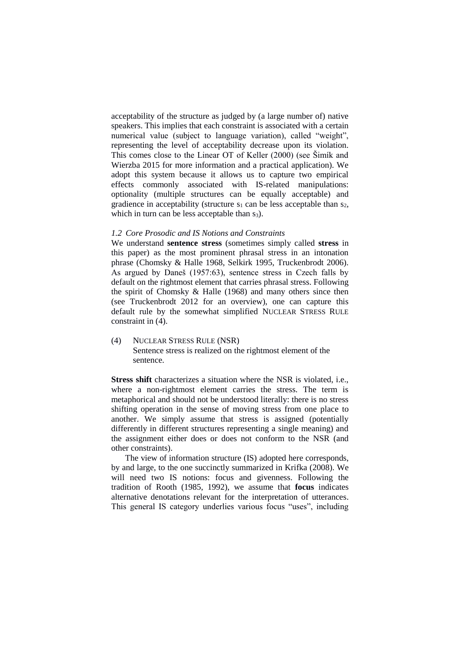acceptability of the structure as judged by (a large number of) native speakers. This implies that each constraint is associated with a certain numerical value (subject to language variation), called "weight", representing the level of acceptability decrease upon its violation. This comes close to the Linear OT of Keller (2000) (see Šimík and Wierzba 2015 for more information and a practical application). We adopt this system because it allows us to capture two empirical effects commonly associated with IS-related manipulations: optionality (multiple structures can be equally acceptable) and gradience in acceptability (structure  $s_1$  can be less acceptable than  $s_2$ , which in turn can be less acceptable than  $s_3$ ).

# *1.2 Core Prosodic and IS Notions and Constraints*

We understand **sentence stress** (sometimes simply called **stress** in this paper) as the most prominent phrasal stress in an intonation phrase (Chomsky & Halle 1968, Selkirk 1995, Truckenbrodt 2006). As argued by Daneš (1957:63), sentence stress in Czech falls by default on the rightmost element that carries phrasal stress. Following the spirit of Chomsky & Halle (1968) and many others since then (see Truckenbrodt 2012 for an overview), one can capture this default rule by the somewhat simplified NUCLEAR STRESS RULE constraint in (4).

(4) NUCLEAR STRESS RULE (NSR) Sentence stress is realized on the rightmost element of the sentence.

**Stress shift** characterizes a situation where the NSR is violated, i.e., where a non-rightmost element carries the stress. The term is metaphorical and should not be understood literally: there is no stress shifting operation in the sense of moving stress from one place to another. We simply assume that stress is assigned (potentially differently in different structures representing a single meaning) and the assignment either does or does not conform to the NSR (and other constraints).

The view of information structure (IS) adopted here corresponds, by and large, to the one succinctly summarized in Krifka (2008). We will need two IS notions: focus and givenness. Following the tradition of Rooth (1985, 1992), we assume that **focus** indicates alternative denotations relevant for the interpretation of utterances. This general IS category underlies various focus "uses", including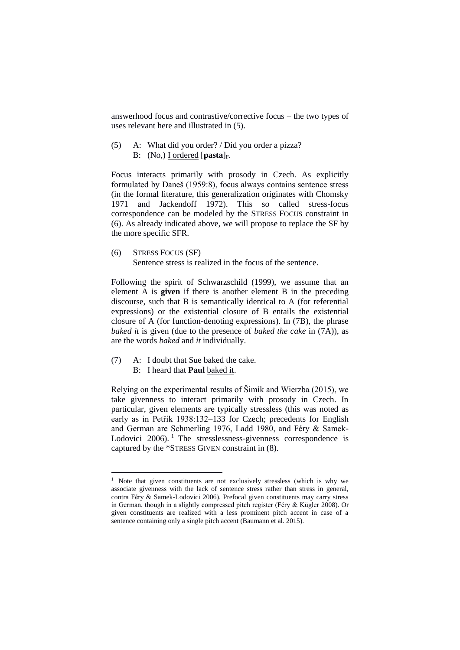answerhood focus and contrastive/corrective focus – the two types of uses relevant here and illustrated in (5).

(5) A: What did you order? / Did you order a pizza? B: (No,) I ordered [**pasta**]<sub>F</sub>.

Focus interacts primarily with prosody in Czech. As explicitly formulated by Daneš (1959:8), focus always contains sentence stress (in the formal literature, this generalization originates with Chomsky 1971 and Jackendoff 1972). This so called stress-focus correspondence can be modeled by the STRESS FOCUS constraint in (6). As already indicated above, we will propose to replace the SF by the more specific SFR.

(6) STRESS FOCUS (SF) Sentence stress is realized in the focus of the sentence.

Following the spirit of Schwarzschild (1999), we assume that an element A is **given** if there is another element B in the preceding discourse, such that B is semantically identical to A (for referential expressions) or the existential closure of B entails the existential closure of A (for function-denoting expressions). In (7B), the phrase *baked it* is given (due to the presence of *baked the cake* in (7A)), as are the words *baked* and *it* individually.

- (7) A: I doubt that Sue baked the cake.
	- B: I heard that **Paul** baked it.

<u>.</u>

Relying on the experimental results of Šimík and Wierzba (2015), we take givenness to interact primarily with prosody in Czech. In particular, given elements are typically stressless (this was noted as early as in Petřík 1938:132–133 for Czech; precedents for English and German are Schmerling 1976, Ladd 1980, and Féry & Samek-Lodovici  $2006$ . <sup>1</sup> The stresslessness-givenness correspondence is captured by the \*STRESS GIVEN constraint in (8).

<sup>&</sup>lt;sup>1</sup> Note that given constituents are not exclusively stressless (which is why we associate givenness with the lack of sentence stress rather than stress in general, contra Féry & Samek-Lodovici 2006). Prefocal given constituents may carry stress in German, though in a slightly compressed pitch register (Féry & Kügler 2008). Or given constituents are realized with a less prominent pitch accent in case of a sentence containing only a single pitch accent (Baumann et al. 2015).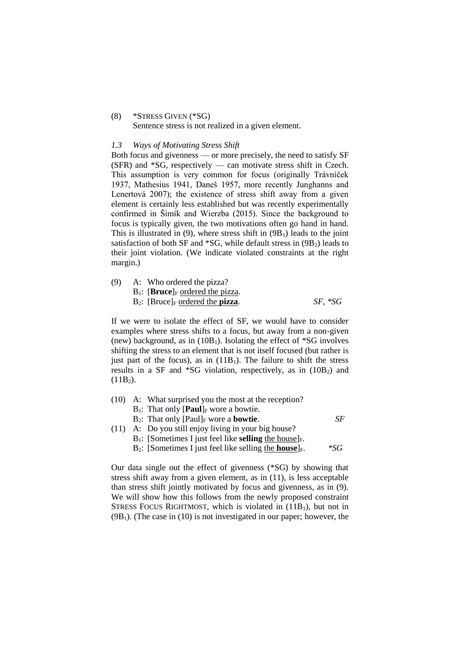#### (8) \*STRESS GIVEN (\*SG)

Sentence stress is not realized in a given element.

#### *1.3 Ways of Motivating Stress Shift*

Both focus and givenness — or more precisely, the need to satisfy SF (SFR) and \*SG, respectively — can motivate stress shift in Czech. This assumption is very common for focus (originally Trávníček 1937, Mathesius 1941, Daneš 1957, more recently Junghanns and Lenertová 2007); the existence of stress shift away from a given element is certainly less established but was recently experimentally confirmed in Šimík and Wierzba (2015). Since the background to focus is typically given, the two motivations often go hand in hand. This is illustrated in  $(9)$ , where stress shift in  $(9B<sub>1</sub>)$  leads to the joint satisfaction of both SF and  $^*SG$ , while default stress in  $(9B<sub>2</sub>)$  leads to their joint violation. (We indicate violated constraints at the right margin.)

| (9) | A: Who ordered the pizza?                               |           |
|-----|---------------------------------------------------------|-----------|
|     | $B_1$ : [Bruce] <sub>F</sub> ordered the pizza.         |           |
|     | $B_2$ : [Bruce] <sub>F</sub> ordered the <b>pizza</b> . | $SF, *SG$ |

If we were to isolate the effect of SF, we would have to consider examples where stress shifts to a focus, but away from a non-given (new) background, as in  $(10B<sub>1</sub>)$ . Isolating the effect of \*SG involves shifting the stress to an element that is not itself focused (but rather is just part of the focus), as in  $(11B_1)$ . The failure to shift the stress results in a SF and  $*SG$  violation, respectively, as in  $(10B<sub>2</sub>)$  and  $(11B<sub>2</sub>)$ .

- (10) A: What surprised you the most at the reception?
	- $B_1$ : That only  $[Paul]_F$  wore a bowtie.
	- B<sub>2</sub>: That only  $[Paul]_F$  wore a **bowtie**. *SF*
- (11) A: Do you still enjoy living in your big house?
	- $B_1$ : [Sometimes I just feel like **selling** the house]<sub>F</sub>.
	- B<sub>2</sub>: [Sometimes I just feel like selling the **house**]<sub>F</sub>. \* *\*SG*

Our data single out the effect of givenness (\*SG) by showing that stress shift away from a given element, as in (11), is less acceptable than stress shift jointly motivated by focus and givenness, as in (9). We will show how this follows from the newly proposed constraint STRESS FOCUS RIGHTMOST, which is violated in (11B1), but not in  $(9B<sub>1</sub>)$ . (The case in (10) is not investigated in our paper; however, the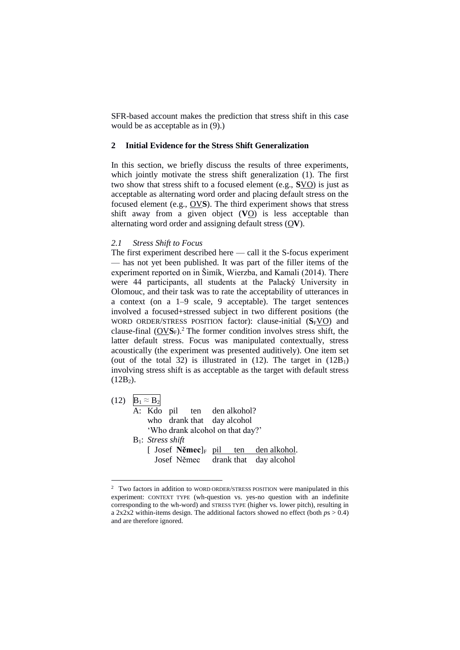SFR-based account makes the prediction that stress shift in this case would be as acceptable as in (9).)

# **2 Initial Evidence for the Stress Shift Generalization**

In this section, we briefly discuss the results of three experiments, which jointly motivate the stress shift generalization (1). The first two show that stress shift to a focused element (e.g., **S**VO) is just as acceptable as alternating word order and placing default stress on the focused element (e.g., OV**S**). The third experiment shows that stress shift away from a given object (**V**O) is less acceptable than alternating word order and assigning default stress (O**V**).

### *2.1 Stress Shift to Focus*

1

The first experiment described here — call it the S-focus experiment — has not yet been published. It was part of the filler items of the experiment reported on in Šimík, Wierzba, and Kamali (2014). There were 44 participants, all students at the Palacký University in Olomouc, and their task was to rate the acceptability of utterances in a context (on a 1–9 scale, 9 acceptable). The target sentences involved a focused+stressed subject in two different positions (the WORD ORDER/STRESS POSITION factor): clause-initial (S<sub>F</sub>VO) and clause-final  $(OVS_F)$ .<sup>2</sup> The former condition involves stress shift, the latter default stress. Focus was manipulated contextually, stress acoustically (the experiment was presented auditively). One item set (out of the total 32) is illustrated in  $(12)$ . The target in  $(12B_1)$ involving stress shift is as acceptable as the target with default stress  $(12B<sub>2</sub>)$ .

(12)  $B_1 \approx B_2$ A: Kdo pil ten den alkohol? who drank that day alcohol 'Who drank alcohol on that day?' B1: *Stress shift* [ Josef **Němec**]<sub>F</sub> pil ten den alkohol. Josef Němec drank that day alcohol

<sup>&</sup>lt;sup>2</sup> Two factors in addition to WORD ORDER/STRESS POSITION were manipulated in this experiment: CONTEXT TYPE (wh-question vs. yes-no question with an indefinite corresponding to the wh-word) and STRESS TYPE (higher vs. lower pitch), resulting in a 2x2x2 within-items design. The additional factors showed no effect (both *p*s > 0.4) and are therefore ignored.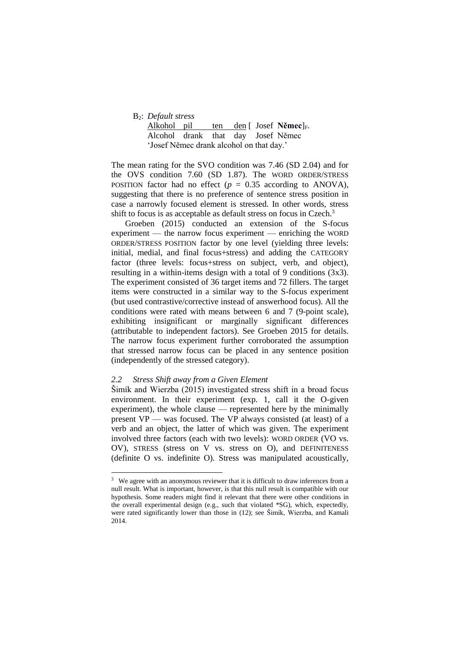B2: *Default stress*

Alkohol pil ten den [ Josef Němec]<sub>F</sub>. Alcohol drank that day Josef Němec 'Josef Němec drank alcohol on that day.'

The mean rating for the SVO condition was 7.46 (SD 2.04) and for the OVS condition 7.60 (SD 1.87). The WORD ORDER/STRESS POSITION factor had no effect ( $p = 0.35$  according to ANOVA), suggesting that there is no preference of sentence stress position in case a narrowly focused element is stressed. In other words, stress shift to focus is as acceptable as default stress on focus in Czech.<sup>3</sup>

Groeben (2015) conducted an extension of the S-focus experiment — the narrow focus experiment — enriching the WORD ORDER/STRESS POSITION factor by one level (yielding three levels: initial, medial, and final focus+stress) and adding the CATEGORY factor (three levels: focus+stress on subject, verb, and object), resulting in a within-items design with a total of 9 conditions (3x3). The experiment consisted of 36 target items and 72 fillers. The target items were constructed in a similar way to the S-focus experiment (but used contrastive/corrective instead of answerhood focus). All the conditions were rated with means between 6 and 7 (9-point scale), exhibiting insignificant or marginally significant differences (attributable to independent factors). See Groeben 2015 for details. The narrow focus experiment further corroborated the assumption that stressed narrow focus can be placed in any sentence position (independently of the stressed category).

# *2.2 Stress Shift away from a Given Element*

<u>.</u>

Šimík and Wierzba (2015) investigated stress shift in a broad focus environment. In their experiment (exp. 1, call it the O-given experiment), the whole clause — represented here by the minimally present VP — was focused. The VP always consisted (at least) of a verb and an object, the latter of which was given. The experiment involved three factors (each with two levels): WORD ORDER (VO vs. OV), STRESS (stress on V vs. stress on O), and DEFINITENESS (definite O vs. indefinite O). Stress was manipulated acoustically,

<sup>&</sup>lt;sup>3</sup> We agree with an anonymous reviewer that it is difficult to draw inferences from a null result. What is important, however, is that this null result is compatible with our hypothesis. Some readers might find it relevant that there were other conditions in the overall experimental design (e.g., such that violated \*SG), which, expectedly, were rated significantly lower than those in (12); see Šimík, Wierzba, and Kamali 2014.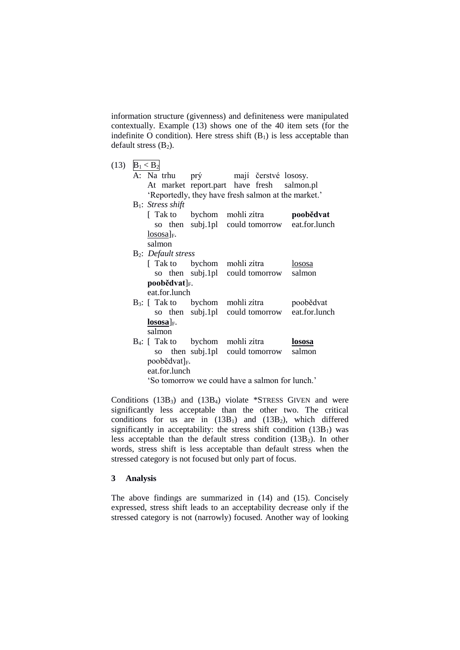information structure (givenness) and definiteness were manipulated contextually. Example (13) shows one of the 40 item sets (for the indefinite O condition). Here stress shift  $(B_1)$  is less acceptable than default stress  $(B_2)$ .

| (13) | $B_1 < B_2$ |                                              |                                                       |               |
|------|-------------|----------------------------------------------|-------------------------------------------------------|---------------|
|      |             | A: Na trhu                                   | prý mají čerstvé lososy.                              |               |
|      |             |                                              | At market report.part have fresh salmon.pl            |               |
|      |             |                                              | 'Reportedly, they have fresh salmon at the market.'   |               |
|      |             | $B_1$ : Stress shift                         |                                                       |               |
|      |             |                                              | [Tak to bychom mohli zítra <b>poobědvat</b>           |               |
|      |             |                                              | so then subj.1pl could tomorrow eat.for.lunch         |               |
|      |             | $\lfloor$ lososa] <sub>F</sub> .             |                                                       |               |
|      |             | salmon                                       |                                                       |               |
|      |             | <b>B<sub>2</sub></b> : <i>Default stress</i> |                                                       |               |
|      |             |                                              | [Tak to bychom mohli zítra                            | lososa        |
|      |             |                                              | so then subj.1pl could tomorrow salmon                |               |
|      |             | $\text{poolědvat}$ <sub>F</sub> .            |                                                       |               |
|      |             | eat.for.lunch                                |                                                       |               |
|      |             |                                              | B <sub>3</sub> : [Tak to bychom mohli zítra poobědvat |               |
|      |             |                                              | so then subj.1pl could tomorrow eat.for.lunch         |               |
|      |             | $\lfloor$ <b>lososa</b> ] <sub>F</sub> .     |                                                       |               |
|      |             | salmon                                       |                                                       |               |
|      |             |                                              | B <sub>4</sub> : [Tak to bychom mohli zítra           | <u>lososa</u> |
|      |             |                                              | so then subj.1pl could tomorrow                       | salmon        |
|      |             | poobědvat] <sub>F</sub> .                    |                                                       |               |
|      |             | eat.for.lunch                                |                                                       |               |
|      |             |                                              | 'So tomorrow we could have a salmon for lunch.'       |               |
|      |             |                                              |                                                       |               |

Conditions  $(13B_3)$  and  $(13B_4)$  violate \*STRESS GIVEN and were significantly less acceptable than the other two. The critical conditions for us are in  $(13B_1)$  and  $(13B_2)$ , which differed significantly in acceptability: the stress shift condition  $(13B_1)$  was less acceptable than the default stress condition  $(13B<sub>2</sub>)$ . In other words, stress shift is less acceptable than default stress when the stressed category is not focused but only part of focus.

# **3 Analysis**

The above findings are summarized in (14) and (15). Concisely expressed, stress shift leads to an acceptability decrease only if the stressed category is not (narrowly) focused. Another way of looking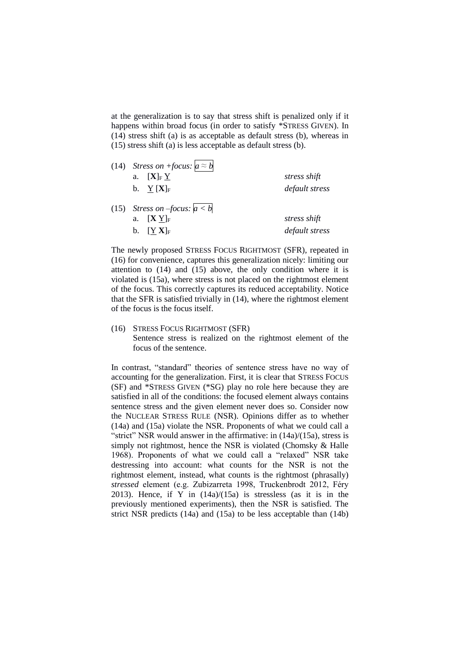at the generalization is to say that stress shift is penalized only if it happens within broad focus (in order to satisfy \*STRESS GIVEN). In (14) stress shift (a) is as acceptable as default stress (b), whereas in (15) stress shift (a) is less acceptable as default stress (b).

| (14) Stress on +focus: $a \approx b$            |                |
|-------------------------------------------------|----------------|
| a. $[\mathbf{X}]_F Y$                           | stress shift   |
| b. $Y[X]_F$                                     | default stress |
| (15) Stress on -focus: $a < b$                  |                |
| $[\mathbf{X} \; \mathrm{Y}]_{\mathrm{F}}$<br>a. | stress shift   |
| b. $[$ Y X $]_F$                                | default stress |

The newly proposed STRESS FOCUS RIGHTMOST (SFR), repeated in (16) for convenience, captures this generalization nicely: limiting our attention to  $(14)$  and  $(15)$  above, the only condition where it is violated is (15a), where stress is not placed on the rightmost element of the focus. This correctly captures its reduced acceptability. Notice that the SFR is satisfied trivially in (14), where the rightmost element of the focus is the focus itself.

(16) STRESS FOCUS RIGHTMOST (SFR) Sentence stress is realized on the rightmost element of the focus of the sentence.

In contrast, "standard" theories of sentence stress have no way of accounting for the generalization. First, it is clear that STRESS FOCUS (SF) and \*STRESS GIVEN (\*SG) play no role here because they are satisfied in all of the conditions: the focused element always contains sentence stress and the given element never does so. Consider now the NUCLEAR STRESS RULE (NSR). Opinions differ as to whether (14a) and (15a) violate the NSR. Proponents of what we could call a "strict" NSR would answer in the affirmative: in (14a)/(15a), stress is simply not rightmost, hence the NSR is violated (Chomsky & Halle 1968). Proponents of what we could call a "relaxed" NSR take destressing into account: what counts for the NSR is not the rightmost element, instead, what counts is the rightmost (phrasally) *stressed* element (e.g. Zubizarreta 1998, Truckenbrodt 2012, Féry 2013). Hence, if Y in  $(14a)/(15a)$  is stressless (as it is in the previously mentioned experiments), then the NSR is satisfied. The strict NSR predicts (14a) and (15a) to be less acceptable than (14b)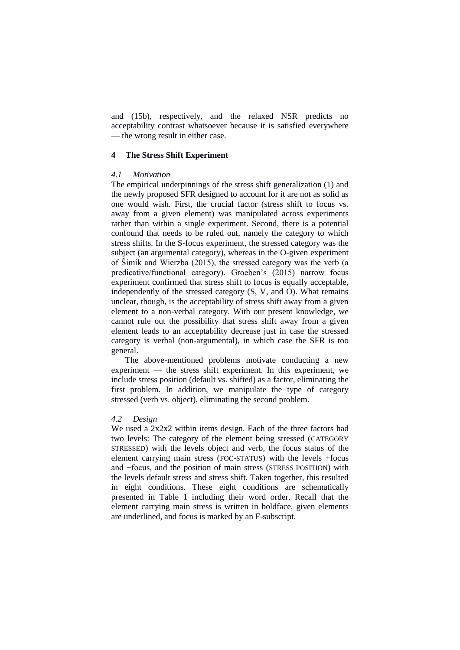and (15b), respectively, and the relaxed NSR predicts no acceptability contrast whatsoever because it is satisfied everywhere — the wrong result in either case.

### **4 The Stress Shift Experiment**

### *4.1 Motivation*

The empirical underpinnings of the stress shift generalization (1) and the newly proposed SFR designed to account for it are not as solid as one would wish. First, the crucial factor (stress shift to focus vs. away from a given element) was manipulated across experiments rather than within a single experiment. Second, there is a potential confound that needs to be ruled out, namely the category to which stress shifts. In the S-focus experiment, the stressed category was the subject (an argumental category), whereas in the O-given experiment of Šimík and Wierzba (2015), the stressed category was the verb (a predicative/functional category). Groeben's (2015) narrow focus experiment confirmed that stress shift to focus is equally acceptable, independently of the stressed category (S, V, and O). What remains unclear, though, is the acceptability of stress shift away from a given element to a non-verbal category. With our present knowledge, we cannot rule out the possibility that stress shift away from a given element leads to an acceptability decrease just in case the stressed category is verbal (non-argumental), in which case the SFR is too general.

The above-mentioned problems motivate conducting a new experiment — the stress shift experiment. In this experiment, we include stress position (default vs. shifted) as a factor, eliminating the first problem. In addition, we manipulate the type of category stressed (verb vs. object), eliminating the second problem.

#### *4.2 Design*

We used a 2x2x2 within items design. Each of the three factors had two levels: The category of the element being stressed (CATEGORY STRESSED) with the levels object and verb, the focus status of the element carrying main stress (FOC-STATUS) with the levels +focus and −focus, and the position of main stress (STRESS POSITION) with the levels default stress and stress shift. Taken together, this resulted in eight conditions. These eight conditions are schematically presented in Table 1 including their word order. Recall that the element carrying main stress is written in boldface, given elements are underlined, and focus is marked by an F-subscript.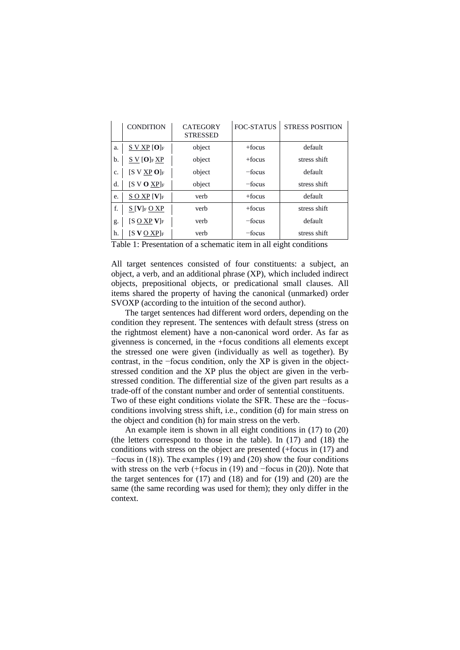|    | <b>CONDITION</b>                     | <b>CATEGORY</b><br><b>STRESSED</b> | FOC-STATUS | <b>STRESS POSITION</b> |
|----|--------------------------------------|------------------------------------|------------|------------------------|
| a. | $S$ V XP $[O]_F$                     | object                             | $+$ focus  | default                |
| b. | S V [O]F X P                         | object                             | $+$ focus  | stress shift           |
| c. | $[S \vee XP O]_F$                    | object                             | -focus     | default                |
| d. | $[S \vee O \times P]_F$              | object                             | -focus     | stress shift           |
| e. | $S$ O XP $[V]_F$                     | verb                               | $+$ focus  | default                |
| f. | $S[V]_F$ O XP                        | verb                               | $+$ focus  | stress shift           |
| g. | $[S \overline{O} \overline{X}P V]_F$ | verb                               | $-$ focus  | default                |
| h. | $[$ S V O XP $]$ f                   | verb                               | $-$ focus  | stress shift           |

Table 1: Presentation of a schematic item in all eight conditions

All target sentences consisted of four constituents: a subject, an object, a verb, and an additional phrase (XP), which included indirect objects, prepositional objects, or predicational small clauses. All items shared the property of having the canonical (unmarked) order SVOXP (according to the intuition of the second author).

The target sentences had different word orders, depending on the condition they represent. The sentences with default stress (stress on the rightmost element) have a non-canonical word order. As far as givenness is concerned, in the +focus conditions all elements except the stressed one were given (individually as well as together). By contrast, in the −focus condition, only the XP is given in the objectstressed condition and the XP plus the object are given in the verbstressed condition. The differential size of the given part results as a trade-off of the constant number and order of sentential constituents. Two of these eight conditions violate the SFR. These are the −focusconditions involving stress shift, i.e., condition (d) for main stress on the object and condition (h) for main stress on the verb.

An example item is shown in all eight conditions in (17) to (20) (the letters correspond to those in the table). In (17) and (18) the conditions with stress on the object are presented (+focus in (17) and −focus in (18)). The examples (19) and (20) show the four conditions with stress on the verb (+focus in (19) and −focus in (20)). Note that the target sentences for (17) and (18) and for (19) and (20) are the same (the same recording was used for them); they only differ in the context.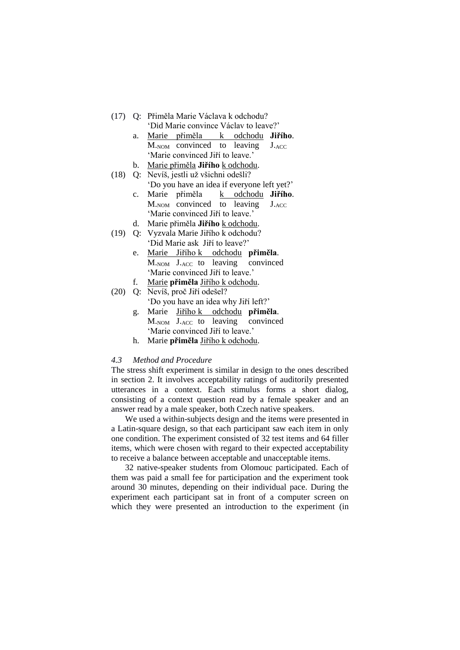- (17) Q: Přiměla Marie Václava k odchodu? 'Did Marie convince Václav to leave?'
	- a. Marie přiměla k odchodu **Jiřího**. M.<sub>NOM</sub> convinced to leaving J.ACC 'Marie convinced Jiří to leave.'
	- b. Marie přiměla **Jiřího** k odchodu.
- (18) Q: Nevíš, jestli už všichni odešli? 'Do you have an idea if everyone left yet?'
	- c. Marie přiměla k odchodu **Jiřího**. M.NOM convinced to leaving J.ACC 'Marie convinced Jiří to leave.'
	- d. Marie přiměla **Jiřího** k odchodu.
- (19) Q: Vyzvala Marie Jiřího k odchodu? 'Did Marie ask Jiří to leave?'
	- e. Marie Jiřího k odchodu **přiměla**. M.NOM J.ACC to leaving convinced 'Marie convinced Jiří to leave.'
	- f. Marie **přiměla** Jiřího k odchodu.
- (20) Q: Nevíš, proč Jiří odešel? 'Do you have an idea why Jiří left?'
	- g. Marie Jiřího k odchodu **přiměla**. M.NOM J.ACC to leaving convinced 'Marie convinced Jiří to leave.'
	- h. Marie **přiměla** Jiřího k odchodu.

### *4.3 Method and Procedure*

The stress shift experiment is similar in design to the ones described in section 2. It involves acceptability ratings of auditorily presented utterances in a context. Each stimulus forms a short dialog, consisting of a context question read by a female speaker and an answer read by a male speaker, both Czech native speakers.

We used a within-subjects design and the items were presented in a Latin-square design, so that each participant saw each item in only one condition. The experiment consisted of 32 test items and 64 filler items, which were chosen with regard to their expected acceptability to receive a balance between acceptable and unacceptable items.

32 native-speaker students from Olomouc participated. Each of them was paid a small fee for participation and the experiment took around 30 minutes, depending on their individual pace. During the experiment each participant sat in front of a computer screen on which they were presented an introduction to the experiment (in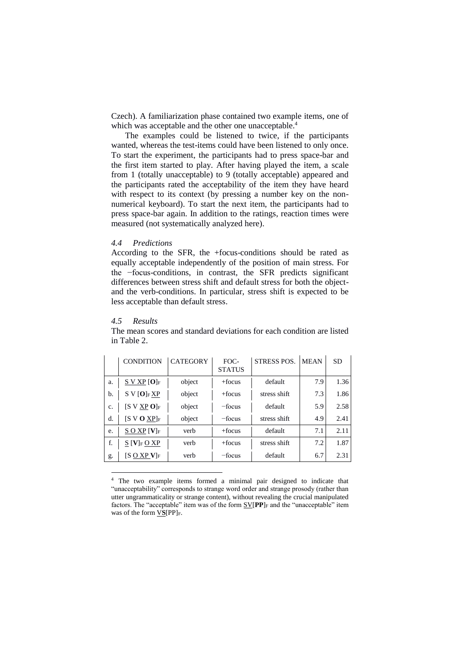Czech). A familiarization phase contained two example items, one of which was acceptable and the other one unacceptable.<sup>4</sup>

The examples could be listened to twice, if the participants wanted, whereas the test-items could have been listened to only once. To start the experiment, the participants had to press space-bar and the first item started to play. After having played the item, a scale from 1 (totally unacceptable) to 9 (totally acceptable) appeared and the participants rated the acceptability of the item they have heard with respect to its context (by pressing a number key on the nonnumerical keyboard). To start the next item, the participants had to press space-bar again. In addition to the ratings, reaction times were measured (not systematically analyzed here).

# *4.4 Predictions*

According to the SFR, the +focus-conditions should be rated as equally acceptable independently of the position of main stress. For the −focus-conditions, in contrast, the SFR predicts significant differences between stress shift and default stress for both the objectand the verb-conditions. In particular, stress shift is expected to be less acceptable than default stress.

#### *4.5 Results*

<u>.</u>

|    | <b>CONDITION</b>                                    | <b>CATEGORY</b> | FOC-<br><b>STATUS</b> | <b>STRESS POS.</b> | <b>MEAN</b> | <b>SD</b> |
|----|-----------------------------------------------------|-----------------|-----------------------|--------------------|-------------|-----------|
| a. | $S$ V XP $[O]_F$                                    | object          | $+$ focus             | default            | 7.9         | 1.36      |
| b. | $S V[O]F \underline{XP}$                            | object          | $+$ focus             | stress shift       | 7.3         | 1.86      |
| c. | $[S \vee XP O]_F$                                   | object          | $-$ focus             | default            | 5.9         | 2.58      |
| d. | $[S \vee O XP]_F$                                   | object          | $-$ focus             | stress shift       | 4.9         | 2.41      |
| e. | $S$ O XP [V] <sub>F</sub>                           | verb            | $+$ focus             | default            | 7.1         | 2.11      |
| f. | $\underline{S}$ [V] <sub>F</sub> $\underline{O}$ XP | verb            | $+$ focus             | stress shift       | 7.2         | 1.87      |
| g. | [S O XP $\mathbf{V}_\mathrm{F}$                     | verb            | -focus                | default            | 6.7         | 2.31      |

The mean scores and standard deviations for each condition are listed in Table 2.

<sup>4</sup> The two example items formed a minimal pair designed to indicate that "unacceptability" corresponds to strange word order and strange prosody (rather than utter ungrammaticality or strange content), without revealing the crucial manipulated factors. The "acceptable" item was of the form SV[PP]<sub>F</sub> and the "unacceptable" item was of the form  $VS[PP]_F$ .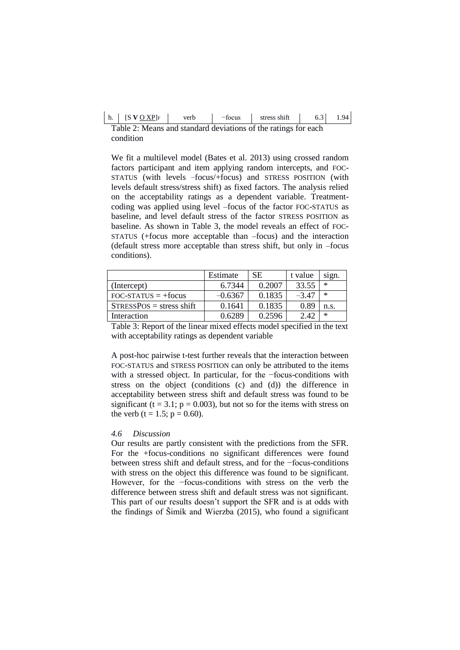|  | $[$ S V O XP $]_F$ | verb | -focus | stress shift | 0.3 | QΔ |
|--|--------------------|------|--------|--------------|-----|----|
|--|--------------------|------|--------|--------------|-----|----|

Table 2: Means and standard deviations of the ratings for each condition

We fit a multilevel model (Bates et al. 2013) using crossed random factors participant and item applying random intercepts, and FOC-STATUS (with levels −focus/+focus) and STRESS POSITION (with levels default stress/stress shift) as fixed factors. The analysis relied on the acceptability ratings as a dependent variable. Treatmentcoding was applied using level –focus of the factor FOC-STATUS as baseline, and level default stress of the factor STRESS POSITION as baseline. As shown in Table 3, the model reveals an effect of FOC-STATUS (+focus more acceptable than –focus) and the interaction (default stress more acceptable than stress shift, but only in –focus conditions).

|                            | Estimate  | <b>SE</b> | t value | sign.  |
|----------------------------|-----------|-----------|---------|--------|
| (Intercept)                | 6.7344    | 0.2007    | 33.55   | ∗      |
| $FOC-STATUS = +focus$      | $-0.6367$ | 0.1835    | $-3.47$ | $\ast$ |
| $STRESSPOS$ = stress shift | 0.1641    | 0.1835    | 0.89    | n.s.   |
| Interaction                | 0.6289    | 0.2596    | 2.42    | $\ast$ |

Table 3: Report of the linear mixed effects model specified in the text with acceptability ratings as dependent variable

A post-hoc pairwise t-test further reveals that the interaction between FOC-STATUS and STRESS POSITION can only be attributed to the items with a stressed object. In particular, for the −focus-conditions with stress on the object (conditions (c) and (d)) the difference in acceptability between stress shift and default stress was found to be significant ( $t = 3.1$ ;  $p = 0.003$ ), but not so for the items with stress on the verb  $(t = 1.5; p = 0.60)$ .

#### *4.6 Discussion*

Our results are partly consistent with the predictions from the SFR. For the +focus-conditions no significant differences were found between stress shift and default stress, and for the −focus-conditions with stress on the object this difference was found to be significant. However, for the −focus-conditions with stress on the verb the difference between stress shift and default stress was not significant. This part of our results doesn't support the SFR and is at odds with the findings of Šimík and Wierzba (2015), who found a significant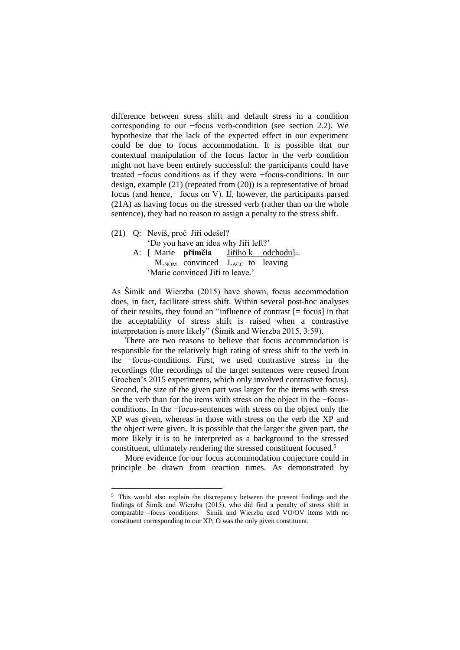difference between stress shift and default stress in a condition corresponding to our −focus verb-condition (see section 2.2). We hypothesize that the lack of the expected effect in our experiment could be due to focus accommodation. It is possible that our contextual manipulation of the focus factor in the verb condition might not have been entirely successful: the participants could have treated −focus conditions as if they were +focus-conditions. In our design, example (21) (repeated from (20)) is a representative of broad focus (and hence, −focus on V). If, however, the participants parsed (21A) as having focus on the stressed verb (rather than on the whole sentence), they had no reason to assign a penalty to the stress shift.

(21) Q: Nevíš, proč Jiří odešel?

1

'Do you have an idea why Jiří left?'

A: [ Marie **přiměla** Jiřího k odchodu]<sub>F</sub>. M.NOM convinced J.ACC to leaving 'Marie convinced Jiří to leave.'

As Šimík and Wierzba (2015) have shown, focus accommodation does, in fact, facilitate stress shift. Within several post-hoc analyses of their results, they found an "influence of contrast [= focus] in that the acceptability of stress shift is raised when a contrastive interpretation is more likely" (Šimík and Wierzba 2015, 3:59).

There are two reasons to believe that focus accommodation is responsible for the relatively high rating of stress shift to the verb in the −focus-conditions. First, we used contrastive stress in the recordings (the recordings of the target sentences were reused from Groeben's 2015 experiments, which only involved contrastive focus). Second, the size of the given part was larger for the items with stress on the verb than for the items with stress on the object in the −focusconditions. In the −focus-sentences with stress on the object only the XP was given, whereas in those with stress on the verb the XP and the object were given. It is possible that the larger the given part, the more likely it is to be interpreted as a background to the stressed constituent, ultimately rendering the stressed constituent focused.<sup>5</sup>

More evidence for our focus accommodation conjecture could in principle be drawn from reaction times. As demonstrated by

<sup>5</sup> This would also explain the discrepancy between the present findings and the findings of Šimík and Wierzba (2015), who did find a penalty of stress shift in comparable –focus conditions: Šimík and Wierzba used VO/OV items with no constituent corresponding to our XP; O was the only given constituent.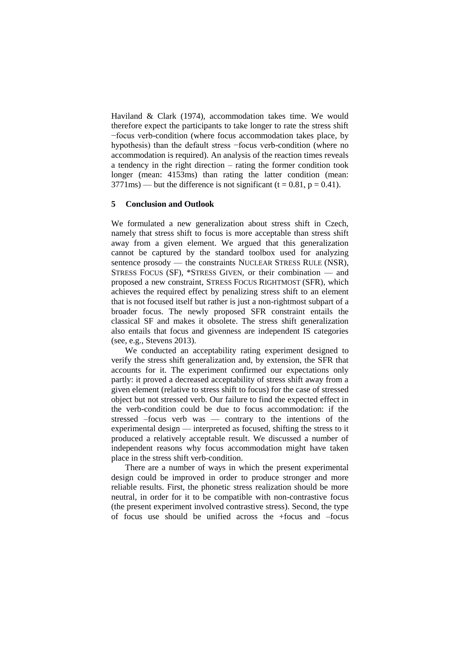Haviland & Clark (1974), accommodation takes time. We would therefore expect the participants to take longer to rate the stress shift −focus verb-condition (where focus accommodation takes place, by hypothesis) than the default stress −focus verb-condition (where no accommodation is required). An analysis of the reaction times reveals a tendency in the right direction – rating the former condition took longer (mean: 4153ms) than rating the latter condition (mean:  $3771$ ms) — but the difference is not significant (t = 0.81, p = 0.41).

### **5 Conclusion and Outlook**

We formulated a new generalization about stress shift in Czech, namely that stress shift to focus is more acceptable than stress shift away from a given element. We argued that this generalization cannot be captured by the standard toolbox used for analyzing sentence prosody — the constraints NUCLEAR STRESS RULE (NSR), STRESS FOCUS (SF), \*STRESS GIVEN, or their combination — and proposed a new constraint, STRESS FOCUS RIGHTMOST (SFR), which achieves the required effect by penalizing stress shift to an element that is not focused itself but rather is just a non-rightmost subpart of a broader focus. The newly proposed SFR constraint entails the classical SF and makes it obsolete. The stress shift generalization also entails that focus and givenness are independent IS categories (see, e.g., Stevens 2013).

We conducted an acceptability rating experiment designed to verify the stress shift generalization and, by extension, the SFR that accounts for it. The experiment confirmed our expectations only partly: it proved a decreased acceptability of stress shift away from a given element (relative to stress shift to focus) for the case of stressed object but not stressed verb. Our failure to find the expected effect in the verb-condition could be due to focus accommodation: if the stressed –focus verb was — contrary to the intentions of the experimental design — interpreted as focused, shifting the stress to it produced a relatively acceptable result. We discussed a number of independent reasons why focus accommodation might have taken place in the stress shift verb-condition.

There are a number of ways in which the present experimental design could be improved in order to produce stronger and more reliable results. First, the phonetic stress realization should be more neutral, in order for it to be compatible with non-contrastive focus (the present experiment involved contrastive stress). Second, the type of focus use should be unified across the +focus and –focus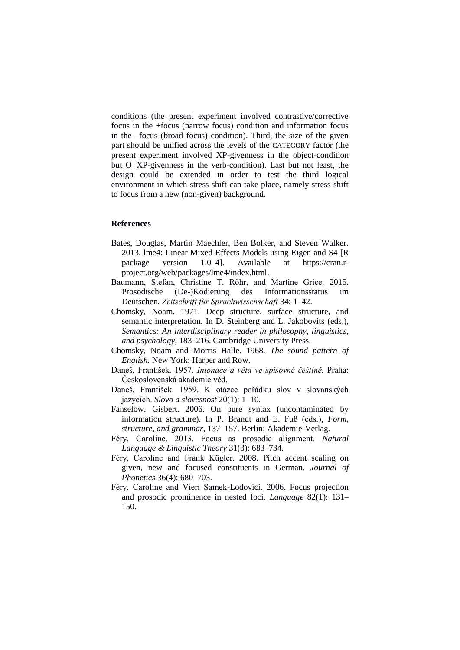conditions (the present experiment involved contrastive/corrective focus in the +focus (narrow focus) condition and information focus in the –focus (broad focus) condition). Third, the size of the given part should be unified across the levels of the CATEGORY factor (the present experiment involved XP-givenness in the object-condition but O+XP-givenness in the verb-condition). Last but not least, the design could be extended in order to test the third logical environment in which stress shift can take place, namely stress shift to focus from a new (non-given) background.

### **References**

- Bates, Douglas, Martin Maechler, Ben Bolker, and Steven Walker. 2013. lme4: Linear Mixed-Effects Models using Eigen and S4 [R package version 1.0–4]. Available at https://cran.rproject.org/web/packages/lme4/index.html.
- Baumann, Stefan, Christine T. Röhr, and Martine Grice. 2015. Prosodische (De-)Kodierung des Informationsstatus im Deutschen. *Zeitschrift für Sprachwissenschaft* 34: 1–42.
- Chomsky, Noam. 1971. Deep structure, surface structure, and semantic interpretation. In D. Steinberg and L. Jakobovits (eds.), *Semantics: An interdisciplinary reader in philosophy, linguistics, and psychology,* 183–216. Cambridge University Press.
- Chomsky, Noam and Morris Halle. 1968. *The sound pattern of English.* New York: Harper and Row.
- Daneš, František. 1957. *Intonace a věta ve spisovné češtině.* Praha: Československá akademie věd.
- Daneš, František. 1959. K otázce pořádku slov v slovanských jazycích. *Slovo a slovesnost* 20(1): 1–10.
- Fanselow, Gisbert. 2006. On pure syntax (uncontaminated by information structure). In P. Brandt and E. Fuß (eds.), *Form, structure, and grammar,* 137–157. Berlin: Akademie-Verlag.
- Féry, Caroline. 2013. Focus as prosodic alignment. *Natural Language & Linguistic Theory* 31(3): 683–734.
- Féry, Caroline and Frank Kügler. 2008. Pitch accent scaling on given, new and focused constituents in German. *Journal of Phonetics* 36(4): 680–703.
- Féry, Caroline and Vieri Samek-Lodovici. 2006. Focus projection and prosodic prominence in nested foci. *Language* 82(1): 131– 150.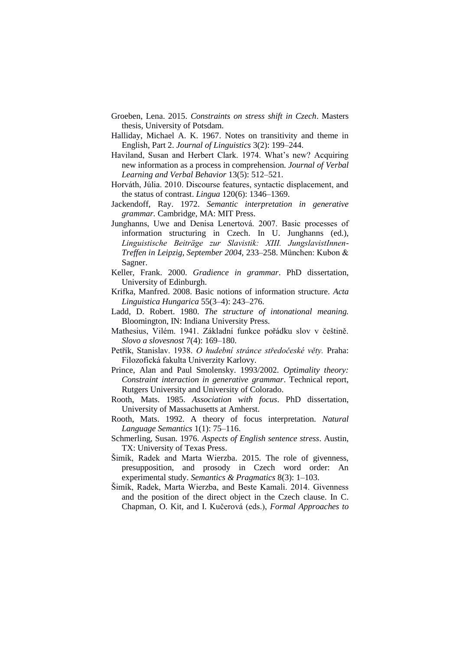- Groeben, Lena. 2015. *Constraints on stress shift in Czech*. Masters thesis, University of Potsdam.
- Halliday, Michael A. K. 1967. Notes on transitivity and theme in English, Part 2. *Journal of Linguistics* 3(2): 199–244.
- Haviland, Susan and Herbert Clark. 1974. What's new? Acquiring new information as a process in comprehension. *Journal of Verbal Learning and Verbal Behavior* 13(5): 512–521.
- Horváth, Júlia. 2010. Discourse features, syntactic displacement, and the status of contrast. *Lingua* 120(6): 1346–1369.
- Jackendoff, Ray. 1972. *Semantic interpretation in generative grammar.* Cambridge, MA: MIT Press.
- Junghanns, Uwe and Denisa Lenertová. 2007. Basic processes of information structuring in Czech. In U. Junghanns (ed.), *Linguistische Beiträge zur Slavistik: XIII. JungslavistInnen-Treffen in Leipzig, September 2004,* 233–258. München: Kubon & Sagner.
- Keller, Frank. 2000. *Gradience in grammar*. PhD dissertation, University of Edinburgh.
- Krifka, Manfred. 2008. Basic notions of information structure. *Acta Linguistica Hungarica* 55(3–4): 243–276.
- Ladd, D. Robert. 1980. *The structure of intonational meaning.*  Bloomington, IN: Indiana University Press.
- Mathesius, Vilém. 1941. Základní funkce pořádku slov v češtině. *Slovo a slovesnost* 7(4): 169–180.
- Petřík, Stanislav. 1938. *O hudební stránce středočeské věty.* Praha: Filozofická fakulta Univerzity Karlovy.
- Prince, Alan and Paul Smolensky. 1993/2002. *Optimality theory: Constraint interaction in generative grammar*. Technical report, Rutgers University and University of Colorado.
- Rooth, Mats. 1985. *Association with focus*. PhD dissertation, University of Massachusetts at Amherst.
- Rooth, Mats. 1992. A theory of focus interpretation. *Natural Language Semantics* 1(1): 75–116.
- Schmerling, Susan. 1976. *Aspects of English sentence stress*. Austin, TX: University of Texas Press.
- Šimík, Radek and Marta Wierzba. 2015. The role of givenness, presupposition, and prosody in Czech word order: An experimental study. *Semantics & Pragmatics* 8(3): 1–103.
- Šimík, Radek, Marta Wierzba, and Beste Kamali. 2014. Givenness and the position of the direct object in the Czech clause. In C. Chapman, O. Kit, and I. Kučerová (eds.), *Formal Approaches to*